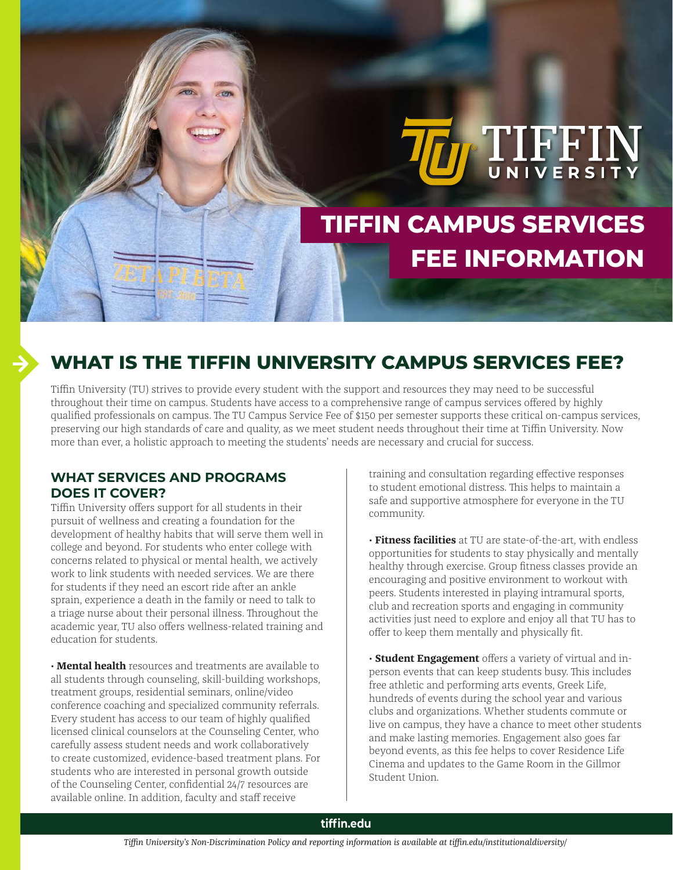# **TIFFIN CAMPUS SERVICES FEE INFORMATION**

**D** TIFFIN

## **WHAT IS THE TIFFIN UNIVERSITY CAMPUS SERVICES FEE?**

Tiffin University (TU) strives to provide every student with the support and resources they may need to be successful throughout their time on campus. Students have access to a comprehensive range of campus services offered by highly qualified professionals on campus. The TU Campus Service Fee of \$150 per semester supports these critical on-campus services, preserving our high standards of care and quality, as we meet student needs throughout their time at Tiffin University. Now more than ever, a holistic approach to meeting the students' needs are necessary and crucial for success.

### **WHAT SERVICES AND PROGRAMS DOES IT COVER?**

Tiffin University offers support for all students in their pursuit of wellness and creating a foundation for the development of healthy habits that will serve them well in college and beyond. For students who enter college with concerns related to physical or mental health, we actively work to link students with needed services. We are there for students if they need an escort ride after an ankle sprain, experience a death in the family or need to talk to a triage nurse about their personal illness. Throughout the academic year, TU also offers wellness-related training and education for students.

• **Mental health** resources and treatments are available to all students through counseling, skill-building workshops, treatment groups, residential seminars, online/video conference coaching and specialized community referrals. Every student has access to our team of highly qualified licensed clinical counselors at the Counseling Center, who carefully assess student needs and work collaboratively to create customized, evidence-based treatment plans. For students who are interested in personal growth outside of the Counseling Center, confidential 24/7 resources are available online. In addition, faculty and staff receive

training and consultation regarding effective responses to student emotional distress. This helps to maintain a safe and supportive atmosphere for everyone in the TU community.

• **Fitness facilities** at TU are state-of-the-art, with endless opportunities for students to stay physically and mentally healthy through exercise. Group fitness classes provide an encouraging and positive environment to workout with peers. Students interested in playing intramural sports, club and recreation sports and engaging in community activities just need to explore and enjoy all that TU has to offer to keep them mentally and physically fit.

• **Student Engagement** offers a variety of virtual and inperson events that can keep students busy. This includes free athletic and performing arts events, Greek Life, hundreds of events during the school year and various clubs and organizations. Whether students commute or live on campus, they have a chance to meet other students and make lasting memories. Engagement also goes far beyond events, as this fee helps to cover Residence Life Cinema and updates to the Game Room in the Gillmor Student Union.